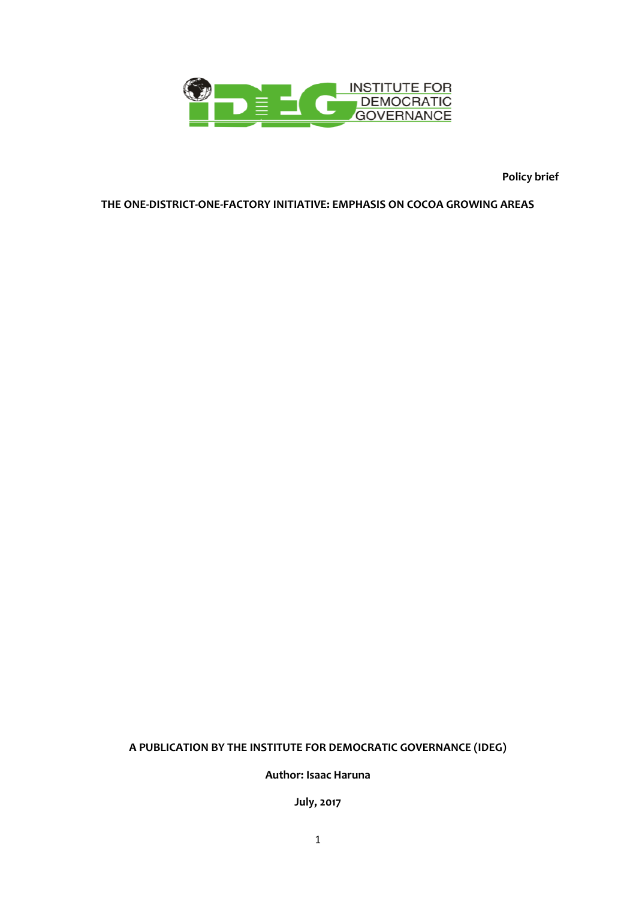

**Policy brief**

#### **THE ONE-DISTRICT-ONE-FACTORY INITIATIVE: EMPHASIS ON COCOA GROWING AREAS**

### **A PUBLICATION BY THE INSTITUTE FOR DEMOCRATIC GOVERNANCE (IDEG)**

**Author: Isaac Haruna**

**July, 2017**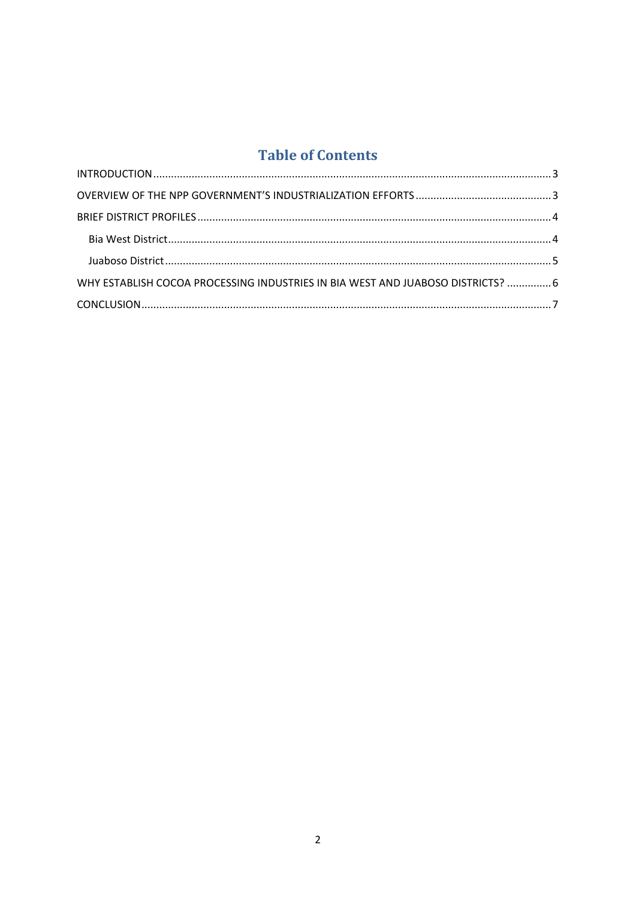## **Table of Contents**

| WHY ESTABLISH COCOA PROCESSING INDUSTRIES IN BIA WEST AND JUABOSO DISTRICTS?  6 |  |
|---------------------------------------------------------------------------------|--|
|                                                                                 |  |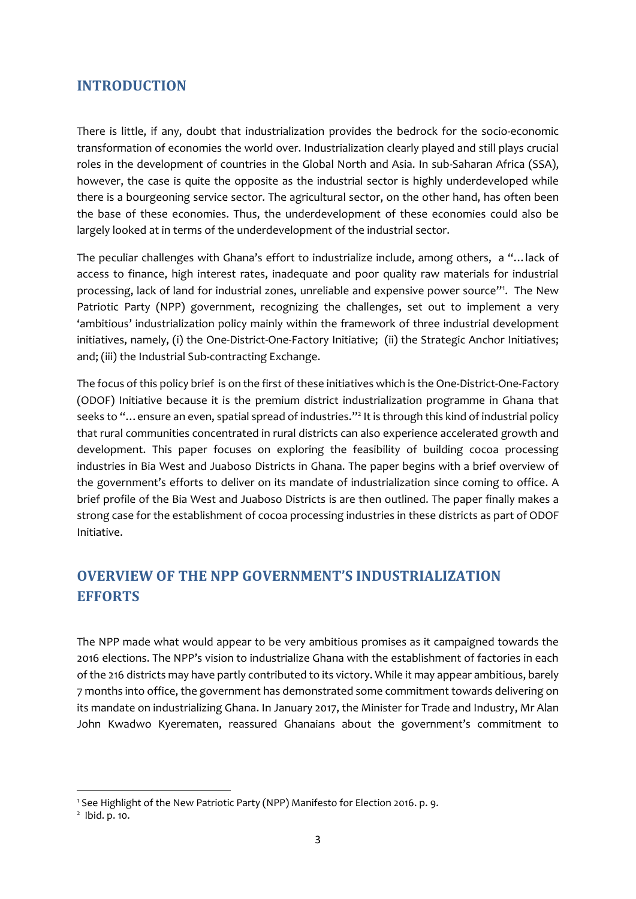#### <span id="page-2-0"></span>**INTRODUCTION**

There is little, if any, doubt that industrialization provides the bedrock for the socio-economic transformation of economies the world over. Industrialization clearly played and still plays crucial roles in the development of countries in the Global North and Asia. In sub-Saharan Africa (SSA), however, the case is quite the opposite as the industrial sector is highly underdeveloped while there is a bourgeoning service sector. The agricultural sector, on the other hand, has often been the base of these economies. Thus, the underdevelopment of these economies could also be largely looked at in terms of the underdevelopment of the industrial sector.

The peculiar challenges with Ghana's effort to industrialize include, among others, a "…lack of access to finance, high interest rates, inadequate and poor quality raw materials for industrial processing, lack of land for industrial zones, unreliable and expensive power source"<sup>1</sup>. The New Patriotic Party (NPP) government, recognizing the challenges, set out to implement a very 'ambitious' industrialization policy mainly within the framework of three industrial development initiatives, namely, (i) the One-District-One-Factory Initiative; (ii) the Strategic Anchor Initiatives; and; (iii) the Industrial Sub-contracting Exchange.

The focus of this policy brief is on the first of these initiatives which is the One-District-One-Factory (ODOF) Initiative because it is the premium district industrialization programme in Ghana that seeks to "... ensure an even, spatial spread of industries."<sup>2</sup> It is through this kind of industrial policy that rural communities concentrated in rural districts can also experience accelerated growth and development. This paper focuses on exploring the feasibility of building cocoa processing industries in Bia West and Juaboso Districts in Ghana. The paper begins with a brief overview of the government's efforts to deliver on its mandate of industrialization since coming to office. A brief profile of the Bia West and Juaboso Districts is are then outlined. The paper finally makes a strong case for the establishment of cocoa processing industries in these districts as part of ODOF Initiative.

### <span id="page-2-1"></span>**OVERVIEW OF THE NPP GOVERNMENT'S INDUSTRIALIZATION EFFORTS**

The NPP made what would appear to be very ambitious promises as it campaigned towards the 2016 elections. The NPP's vision to industrialize Ghana with the establishment of factories in each of the 216 districts may have partly contributed to its victory. While it may appear ambitious, barely 7 months into office, the government has demonstrated some commitment towards delivering on its mandate on industrializing Ghana. In January 2017, the Minister for Trade and Industry, Mr Alan John Kwadwo Kyerematen, reassured Ghanaians about the government's commitment to

 $\overline{a}$ 

<sup>1</sup> See Highlight of the New Patriotic Party (NPP) Manifesto for Election 2016. p. 9.

<sup>&</sup>lt;sup>2</sup> Ibid. p. 10.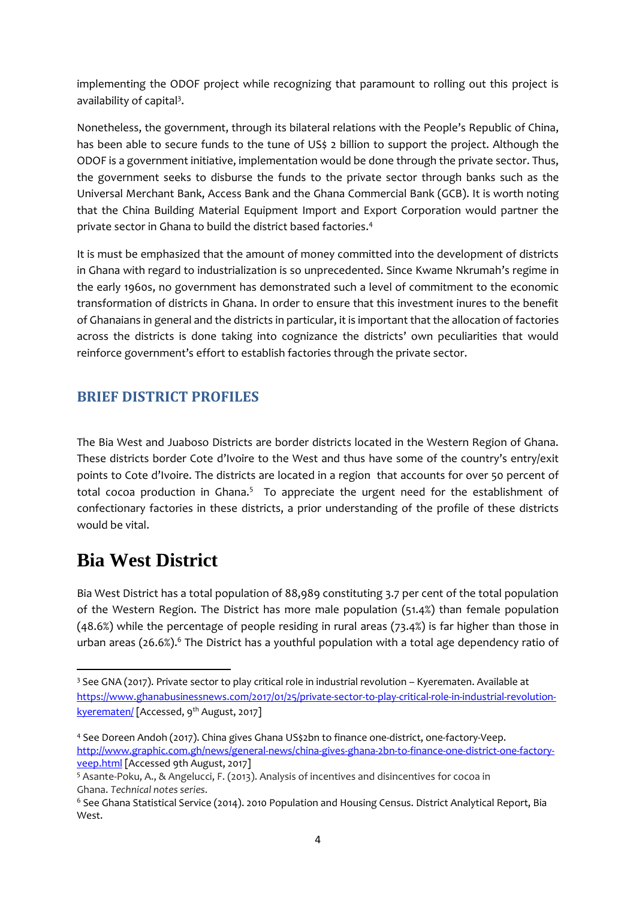implementing the ODOF project while recognizing that paramount to rolling out this project is availability of capital<sup>3</sup>.

Nonetheless, the government, through its bilateral relations with the People's Republic of China, has been able to secure funds to the tune of US\$ 2 billion to support the project. Although the ODOF is a government initiative, implementation would be done through the private sector. Thus, the government seeks to disburse the funds to the private sector through banks such as the Universal Merchant Bank, Access Bank and the Ghana Commercial Bank (GCB). It is worth noting that the China Building Material Equipment Import and Export Corporation would partner the private sector in Ghana to build the district based factories. 4

It is must be emphasized that the amount of money committed into the development of districts in Ghana with regard to industrialization is so unprecedented. Since Kwame Nkrumah's regime in the early 1960s, no government has demonstrated such a level of commitment to the economic transformation of districts in Ghana. In order to ensure that this investment inures to the benefit of Ghanaians in general and the districts in particular, it is important that the allocation of factories across the districts is done taking into cognizance the districts' own peculiarities that would reinforce government's effort to establish factories through the private sector.

### <span id="page-3-0"></span>**BRIEF DISTRICT PROFILES**

The Bia West and Juaboso Districts are border districts located in the Western Region of Ghana. These districts border Cote d'Ivoire to the West and thus have some of the country's entry/exit points to Cote d'Ivoire. The districts are located in a region that accounts for over 50 percent of total cocoa production in Ghana.<sup>5</sup> To appreciate the urgent need for the establishment of confectionary factories in these districts, a prior understanding of the profile of these districts would be vital.

## <span id="page-3-1"></span>**Bia West District**

**.** 

Bia West District has a total population of 88,989 constituting 3.7 per cent of the total population of the Western Region. The District has more male population (51.4%) than female population (48.6%) while the percentage of people residing in rural areas (73.4%) is far higher than those in urban areas (26.6%). <sup>6</sup> The District has a youthful population with a total age dependency ratio of

<sup>3</sup> See GNA (2017). Private sector to play critical role in industrial revolution – Kyerematen. Available at [https://www.ghanabusinessnews.com/2017/01/25/private-sector-to-play-critical-role-in-industrial-revolution](https://www.ghanabusinessnews.com/2017/01/25/private-sector-to-play-critical-role-in-industrial-revolution-kyerematen/)[kyerematen/](https://www.ghanabusinessnews.com/2017/01/25/private-sector-to-play-critical-role-in-industrial-revolution-kyerematen/) [Accessed, 9<sup>th</sup> August, 2017]

<sup>4</sup> See Doreen Andoh (2017). China gives Ghana US\$2bn to finance one-district, one-factory-Veep. [http://www.graphic.com.gh/news/general-news/china-gives-ghana-2bn-to-finance-one-district-one-factory](http://www.graphic.com.gh/news/general-news/china-gives-ghana-2bn-to-finance-one-district-one-factory-veep.html)[veep.html](http://www.graphic.com.gh/news/general-news/china-gives-ghana-2bn-to-finance-one-district-one-factory-veep.html) [Accessed 9th August, 2017]

<sup>5</sup> Asante-Poku, A., & Angelucci, F. (2013). Analysis of incentives and disincentives for cocoa in Ghana. *Technical notes series*.

<sup>6</sup> See Ghana Statistical Service (2014). 2010 Population and Housing Census. District Analytical Report, Bia West.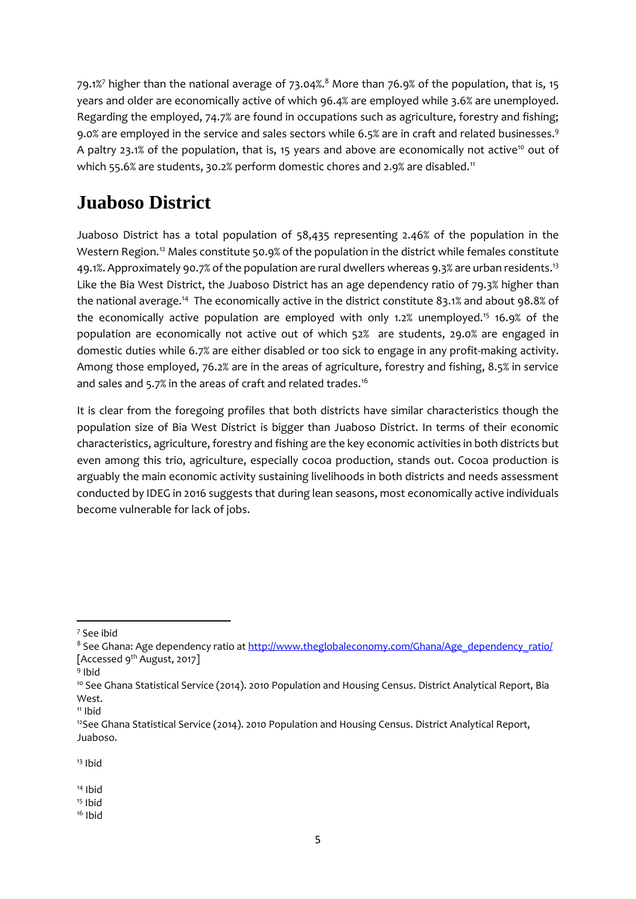79.1%<sup>7</sup> higher than the national average of 73.04%. <sup>8</sup> More than 76.9% of the population, that is, 15 years and older are economically active of which 96.4% are employed while 3.6% are unemployed. Regarding the employed, 74.7% are found in occupations such as agriculture, forestry and fishing; 9.0% are employed in the service and sales sectors while 6.5% are in craft and related businesses.<sup>9</sup> A paltry 23.1% of the population, that is, 15 years and above are economically not active<sup>10</sup> out of which 55.6% are students, 30.2% perform domestic chores and 2.9% are disabled.<sup>11</sup>

# <span id="page-4-0"></span>**Juaboso District**

Juaboso District has a total population of 58,435 representing 2.46% of the population in the Western Region.<sup>12</sup> Males constitute 50.9% of the population in the district while females constitute 49.1%. Approximately 90.7% of the population are rural dwellers whereas 9.3% are urban residents.<sup>13</sup> Like the Bia West District, the Juaboso District has an age dependency ratio of 79.3% higher than the national average.<sup>14</sup> The economically active in the district constitute 83.1% and about 98.8% of the economically active population are employed with only 1.2% unemployed.<sup>15</sup> 16.9% of the population are economically not active out of which 52% are students, 29.0% are engaged in domestic duties while 6.7% are either disabled or too sick to engage in any profit-making activity. Among those employed, 76.2% are in the areas of agriculture, forestry and fishing, 8.5% in service and sales and 5.7% in the areas of craft and related trades.<sup>16</sup>

<span id="page-4-1"></span>It is clear from the foregoing profiles that both districts have similar characteristics though the population size of Bia West District is bigger than Juaboso District. In terms of their economic characteristics, agriculture, forestry and fishing are the key economic activities in both districts but even among this trio, agriculture, especially cocoa production, stands out. Cocoa production is arguably the main economic activity sustaining livelihoods in both districts and needs assessment conducted by IDEG in 2016 suggests that during lean seasons, most economically active individuals become vulnerable for lack of jobs.

**.** 

<sup>13</sup> Ibid

- $15$  Ibid
- $16$  Ibid

<sup>7</sup> See ibid

<sup>&</sup>lt;sup>8</sup> See Ghana: Age dependency ratio a[t http://www.theglobaleconomy.com/Ghana/Age\\_dependency\\_ratio/](http://www.theglobaleconomy.com/Ghana/Age_dependency_ratio/) [Accessed 9<sup>th</sup> August, 2017]

<sup>9</sup> Ibid

<sup>&</sup>lt;sup>10</sup> See Ghana Statistical Service (2014). 2010 Population and Housing Census. District Analytical Report, Bia West.

 $11$  Ibid

 $12$ See Ghana Statistical Service (2014). 2010 Population and Housing Census. District Analytical Report, Juaboso.

 $14$  Ibid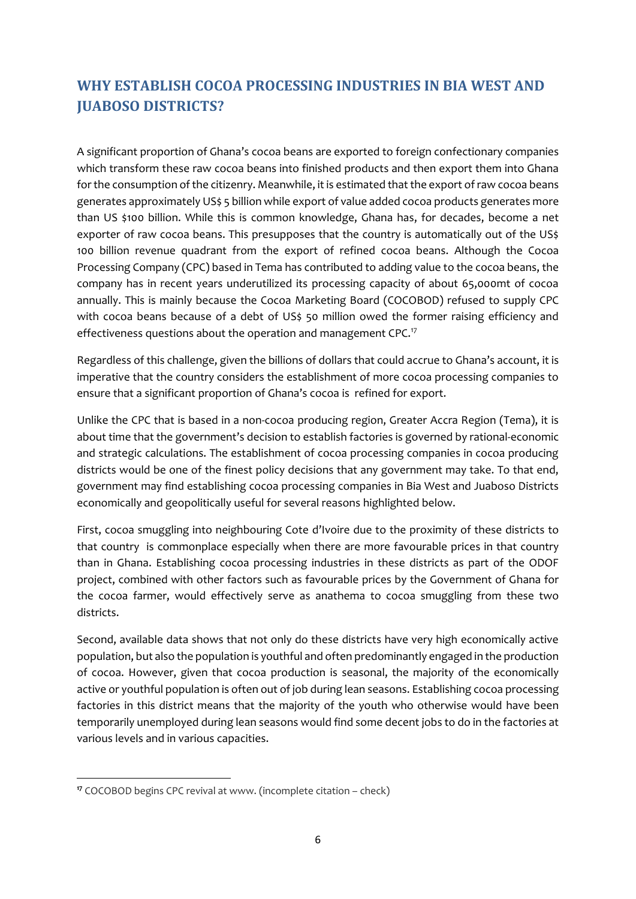### **WHY ESTABLISH COCOA PROCESSING INDUSTRIES IN BIA WEST AND JUABOSO DISTRICTS?**

A significant proportion of Ghana's cocoa beans are exported to foreign confectionary companies which transform these raw cocoa beans into finished products and then export them into Ghana for the consumption of the citizenry. Meanwhile, it is estimated that the export of raw cocoa beans generates approximately US\$ 5 billion while export of value added cocoa products generates more than US \$100 billion. While this is common knowledge, Ghana has, for decades, become a net exporter of raw cocoa beans. This presupposes that the country is automatically out of the US\$ 100 billion revenue quadrant from the export of refined cocoa beans. Although the Cocoa Processing Company (CPC) based in Tema has contributed to adding value to the cocoa beans, the company has in recent years underutilized its processing capacity of about 65,000mt of cocoa annually. This is mainly because the Cocoa Marketing Board (COCOBOD) refused to supply CPC with cocoa beans because of a debt of US\$ 50 million owed the former raising efficiency and effectiveness questions about the operation and management CPC.<sup>17</sup>

Regardless of this challenge, given the billions of dollars that could accrue to Ghana's account, it is imperative that the country considers the establishment of more cocoa processing companies to ensure that a significant proportion of Ghana's cocoa is refined for export.

Unlike the CPC that is based in a non-cocoa producing region, Greater Accra Region (Tema), it is about time that the government's decision to establish factories is governed by rational-economic and strategic calculations. The establishment of cocoa processing companies in cocoa producing districts would be one of the finest policy decisions that any government may take. To that end, government may find establishing cocoa processing companies in Bia West and Juaboso Districts economically and geopolitically useful for several reasons highlighted below.

First, cocoa smuggling into neighbouring Cote d'Ivoire due to the proximity of these districts to that country is commonplace especially when there are more favourable prices in that country than in Ghana. Establishing cocoa processing industries in these districts as part of the ODOF project, combined with other factors such as favourable prices by the Government of Ghana for the cocoa farmer, would effectively serve as anathema to cocoa smuggling from these two districts.

Second, available data shows that not only do these districts have very high economically active population, but also the population is youthful and often predominantly engaged in the production of cocoa. However, given that cocoa production is seasonal, the majority of the economically active or youthful population is often out of job during lean seasons. Establishing cocoa processing factories in this district means that the majority of the youth who otherwise would have been temporarily unemployed during lean seasons would find some decent jobs to do in the factories at various levels and in various capacities.

1

**<sup>17</sup>** COCOBOD begins CPC revival at www. (incomplete citation – check)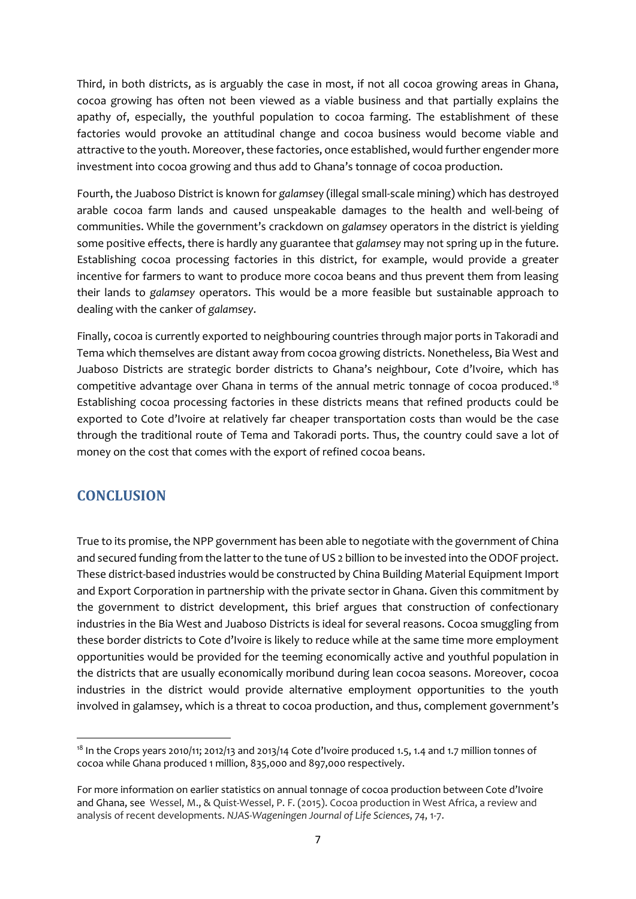Third, in both districts, as is arguably the case in most, if not all cocoa growing areas in Ghana, cocoa growing has often not been viewed as a viable business and that partially explains the apathy of, especially, the youthful population to cocoa farming. The establishment of these factories would provoke an attitudinal change and cocoa business would become viable and attractive to the youth. Moreover, these factories, once established, would further engender more investment into cocoa growing and thus add to Ghana's tonnage of cocoa production.

Fourth, the Juaboso District is known for *galamse*y (illegal small-scale mining) which has destroyed arable cocoa farm lands and caused unspeakable damages to the health and well-being of communities. While the government's crackdown on *galamsey* operators in the district is yielding some positive effects, there is hardly any guarantee that *galamsey* may not spring up in the future. Establishing cocoa processing factories in this district, for example, would provide a greater incentive for farmers to want to produce more cocoa beans and thus prevent them from leasing their lands to *galamsey* operators. This would be a more feasible but sustainable approach to dealing with the canker of *galamsey*.

Finally, cocoa is currently exported to neighbouring countries through major ports in Takoradi and Tema which themselves are distant away from cocoa growing districts. Nonetheless, Bia West and Juaboso Districts are strategic border districts to Ghana's neighbour, Cote d'Ivoire, which has competitive advantage over Ghana in terms of the annual metric tonnage of cocoa produced.<sup>18</sup> Establishing cocoa processing factories in these districts means that refined products could be exported to Cote d'Ivoire at relatively far cheaper transportation costs than would be the case through the traditional route of Tema and Takoradi ports. Thus, the country could save a lot of money on the cost that comes with the export of refined cocoa beans.

#### <span id="page-6-0"></span>**CONCLUSION**

**.** 

True to its promise, the NPP government has been able to negotiate with the government of China and secured funding from the latter to the tune of US 2 billion to be invested into the ODOF project. These district-based industries would be constructed by China Building Material Equipment Import and Export Corporation in partnership with the private sector in Ghana. Given this commitment by the government to district development, this brief argues that construction of confectionary industries in the Bia West and Juaboso Districts is ideal for several reasons. Cocoa smuggling from these border districts to Cote d'Ivoire is likely to reduce while at the same time more employment opportunities would be provided for the teeming economically active and youthful population in the districts that are usually economically moribund during lean cocoa seasons. Moreover, cocoa industries in the district would provide alternative employment opportunities to the youth involved in galamsey, which is a threat to cocoa production, and thus, complement government's

<sup>&</sup>lt;sup>18</sup> In the Crops years 2010/11; 2012/13 and 2013/14 Cote d'Ivoire produced 1.5, 1.4 and 1.7 million tonnes of cocoa while Ghana produced 1 million, 835,000 and 897,000 respectively.

For more information on earlier statistics on annual tonnage of cocoa production between Cote d'Ivoire and Ghana, see Wessel, M., & Quist-Wessel, P. F. (2015). Cocoa production in West Africa, a review and analysis of recent developments. *NJAS-Wageningen Journal of Life Sciences*, *74*, 1-7.